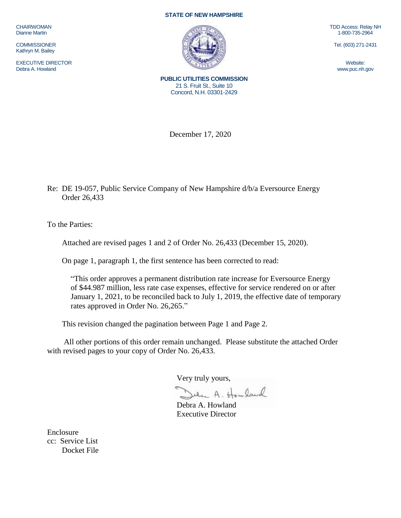CHAIRWOMAN Dianne Martin

**COMMISSIONER** Kathryn M. Bailey

EXECUTIVE DIRECTOR Debra A. Howland

## **STATE OF NEW HAMPSHIRE**



TDD Access: Relay NH 1-800-735-2964

Tel. (603) 271-2431

Website: www.puc.nh.gov

**PUBLIC UTILITIES COMMISSION** 21 S. Fruit St., Suite 10 Concord, N.H. 03301-2429

December 17, 2020

Re: DE 19-057, Public Service Company of New Hampshire d/b/a Eversource Energy Order 26,433

To the Parties:

Attached are revised pages 1 and 2 of Order No. 26,433 (December 15, 2020).

On page 1, paragraph 1, the first sentence has been corrected to read:

"This order approves a permanent distribution rate increase for Eversource Energy of \$44.987 million, less rate case expenses, effective for service rendered on or after January 1, 2021, to be reconciled back to July 1, 2019, the effective date of temporary rates approved in Order No. 26,265."

This revision changed the pagination between Page 1 and Page 2.

All other portions of this order remain unchanged. Please substitute the attached Order with revised pages to your copy of Order No. 26,433.

Very truly yours,

Julie A. Howland

Debra A. Howland Executive Director

Enclosure cc: Service List Docket File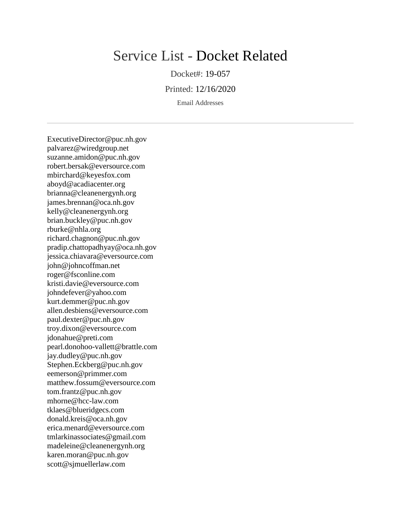## Service List - Docket Related

Docket#: 19-057

Printed: 12/16/2020

Email Addresses

ExecutiveDirector@puc.nh.gov palvarez@wiredgroup.net suzanne.amidon@puc.nh.gov robert.bersak@eversource.com mbirchard@keyesfox.com aboyd@acadiacenter.org brianna@cleanenergynh.org james.brennan@oca.nh.gov kelly@cleanenergynh.org brian.buckley@puc.nh.gov rburke@nhla.org richard.chagnon@puc.nh.gov pradip.chattopadhyay@oca.nh.gov jessica.chiavara@eversource.com john@johncoffman.net roger@fsconline.com kristi.davie@eversource.com johndefever@yahoo.com kurt.demmer@puc.nh.gov allen.desbiens@eversource.com paul.dexter@puc.nh.gov troy.dixon@eversource.com jdonahue@preti.com pearl.donohoo-vallett@brattle.com jay.dudley@puc.nh.gov Stephen.Eckberg@puc.nh.gov eemerson@primmer.com matthew.fossum@eversource.com tom.frantz@puc.nh.gov mhorne@hcc-law.com tklaes@blueridgecs.com donald.kreis@oca.nh.gov erica.menard@eversource.com tmlarkinassociates@gmail.com madeleine@cleanenergynh.org karen.moran@puc.nh.gov scott@sjmuellerlaw.com